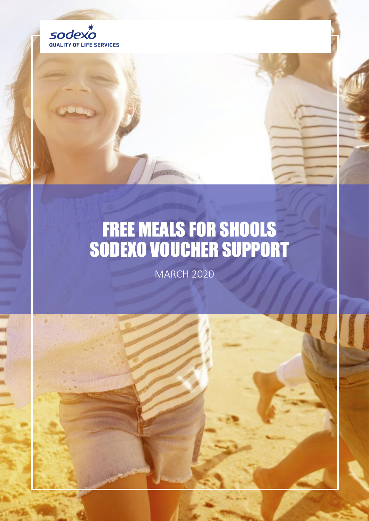

# FREE MEALS FOR SHOOLS SODEXO VOUCHER SUPPORT

MARCH 2020

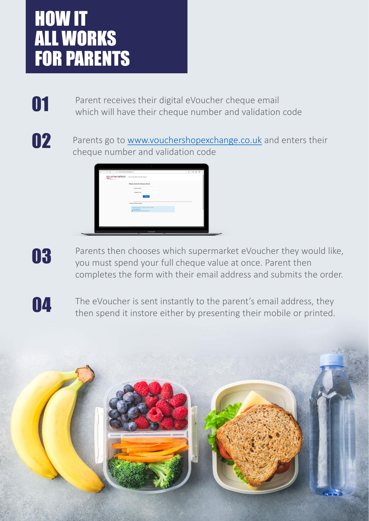### HOW IT ALL WORKS FOR PARENTS

**O1** Parent receives their digital eVoucher cheque email<br>which will have their cheque number and validation code

02

Parents go to [www.vouchershopexchange.co.uk](http://www.vouchershopexchange.co.uk/) and enters their cheque number and validation code



03

Parents then chooses which supermarket eVoucher they would like, you must spend your full cheque value at once. Parent then completes the form with their email address and submits the order.

The eVoucher is sent instantly to the parent's email address, they<br>then spend it instore either by presenting their mobile or printed.